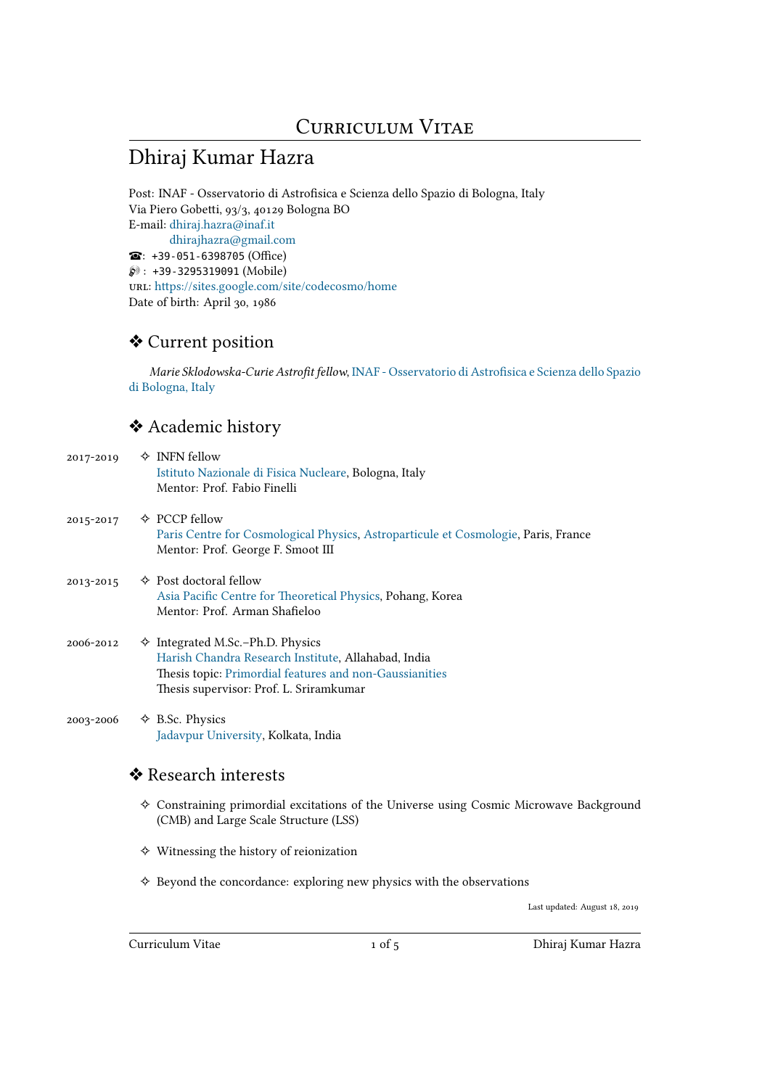# Dhiraj Kumar Hazra

Post: INAF - Osservatorio di Astrofisica e Scienza dello Spazio di Bologna, Italy Via Piero Gobetti, 93/3, 40129 Bologna BO E-mail: dhiraj.hazra@inaf.it dhirajhazra@gmail.com : +39-051-6398705 (Office)  $\wp$ : +39-3295319091 (Mobile) url: h[ttps://sites.google.com](mailto:dhiraj.hazra@inaf.it)/site/codecosmo/home Date of [birth: April 30, 1986](mailto:dhirajhazra@gmail.com)

# ❖ [Current position](https://sites.google.com/site/codecosmo/home)

*Marie Sklodowska-Curie Astrofit fellow*, INAF - Osservatorio di Astrofisica e Scienza dello Spazio di Bologna, Italy

### ❖ Academic history

| 2017-2019 | $\Diamond$ INFN fellow<br>Istituto Nazionale di Fisica Nucleare, Bologna, Italy<br>Mentor: Prof. Fabio Finelli                                                                                         |
|-----------|--------------------------------------------------------------------------------------------------------------------------------------------------------------------------------------------------------|
| 2015-2017 | $\Diamond$ PCCP fellow<br>Paris Centre for Cosmological Physics, Astroparticule et Cosmologie, Paris, France<br>Mentor: Prof. George F. Smoot III                                                      |
| 2013-2015 | $\Leftrightarrow$ Post doctoral fellow<br>Asia Pacific Centre for Theoretical Physics, Pohang, Korea<br>Mentor: Prof. Arman Shafieloo                                                                  |
| 2006-2012 | $\Diamond$ Integrated M.Sc.-Ph.D. Physics<br>Harish Chandra Research Institute, Allahabad, India<br>Thesis topic: Primordial features and non-Gaussianities<br>Thesis supervisor: Prof. L. Sriramkumar |
| 2003-2006 | $\triangle$ B.Sc. Physics<br>Jadavpur University, Kolkata, India                                                                                                                                       |
|           | ❖ Research interests                                                                                                                                                                                   |
|           | $\diamond$ Constraining primordial excitations of the Universe using Cosmic Microwave Background<br>(CMB) and Large Scale Structure (LSS)                                                              |

- ✧ Witnessing the history of reionization
- ✧ Beyond the concordance: exploring new physics with the observations

Last updated: August 18, 2019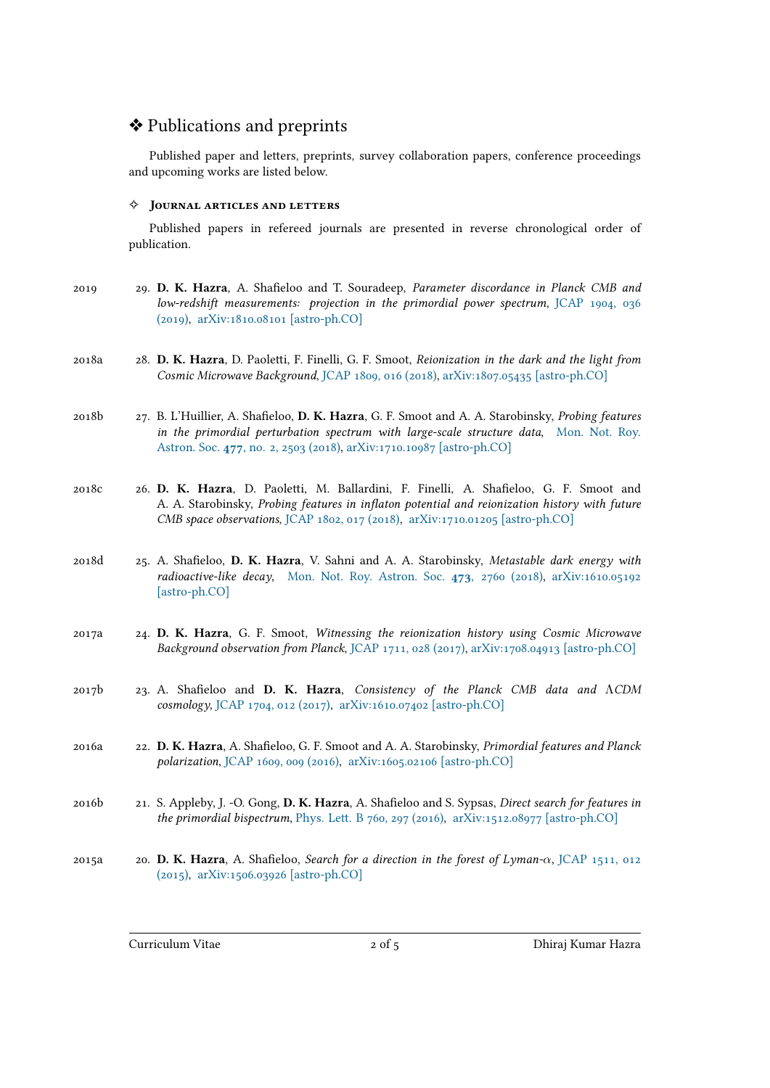### ❖ Publications and preprints

Published paper and letters, preprints, survey collaboration papers, conference proceedings and upcoming works are listed below.

#### ✧ **Journal articles and letters**

Published papers in refereed journals are presented in reverse chronological order of publication.

- 2019 29. **D. K. Hazra**, A. Shafieloo and T. Souradeep, *Parameter discordance in Planck CMB and low-redshift measurements: projection in the primordial power spectrum*, JCAP 1904, 036 (2019), arXiv:1810.08101 [astro-ph.CO]
- 2018a 28. **D. K. Hazra**, D. Paoletti, F. Finelli, G. F. Smoot, *Reionization in the dark a[nd the light from](https://iopscience.iop.org/article/10.1088/1475-7516/2019/04/036/meta) [Cosmic](https://iopscience.iop.org/article/10.1088/1475-7516/2019/04/036/meta) [Microwave Background](https://arxiv.org/abs/1810.08101)*, JCAP 1809, 016 (2018), arXiv:1807.05435 [astro-ph.CO]
- 2018b 27. B. L'Huillier, A. Shafieloo, **D. K. Hazra**, G. F. Smoot and A. A. Starobinsky, *Probing features in the primordial perturbation [spectrum with large-s](https://doi.org/10.1088/1475-7516/2018/09/016)[cale structure data](https://arxiv.org/abs/1807.05435)*, Mon. Not. Roy. Astron. Soc. **477**, no. 2, 2503 (2018), arXiv:1710.10987 [astro-ph.CO]
- 2018c 26. **D. K. Hazra**, D. Paoletti, M. Ballardini, F. Finelli, A. Shafieloo, G. [F. Smoot and](https://doi.org/10.1093/mnras/sty745) A. A. Starobinsky, *Probing features [in inflaton potential and reioniz](https://arxiv.org/abs/1710.10987)ation history with future [CMB space observations](https://doi.org/10.1093/mnras/sty745)*, JCAP 1802, 017 (2018), arXiv:1710.01205 [astro-ph.CO]
- 2018d 25. A. Shafieloo, **D. K. Hazra**, V. Sahni and A. A. Starobinsky, *Metastable dark energy with radioactive-like decay*, [Mon. Not. Roy. Astr](http://iopscience.iop.org/article/10.1088/1475-7516/2018/02/017/meta)on. Soc. **473**[, 2760 \(2018\),](https://arxiv.org/abs/1710.01205) arXiv:1610.05192 [astro-ph.CO]
- 2017a 24. **D. K. Hazra**, G. F. Smoot, *[Witnessing the reionization history using C](https://doi.org/10.1093/mnras/stx2481)[osmic Microwave](https://arxiv.org/abs/1610.05192) [Background ob](https://arxiv.org/abs/1610.05192)servation from Planck*, JCAP 1711, 028 (2017), arXiv:1708.04913 [astro-ph.CO]
- 2017b 23. A. Shafieloo and **D. K. Hazra**, *Consistency of the Planck CMB data and* Λ*CDM cosmology*, JCAP 1704, 012 (2017), ar[Xiv:1610.07402 \[astro-](https://doi.org/10.1088/1475-7516/2017/11/028)[ph.CO\]](https://arxiv.org/abs/1708.04913)
- 2016a 22. **D. K. Hazra**, A. Shafieloo, G. F. Smoot and A. A. Starobinsky, *Primordial features and Planck polarization*, [JCAP 1609, 009 \(2016](http://dx.doi.org/10.1088/1475-7516/2017/04/012)), [arXiv:1605.02106 \[astro-ph.CO](https://arxiv.org/abs/1610.07402)]
- 2016b 21. S. Appleby, J. -O. Gong, **D. K. Hazra**, A. Shafieloo and S. Sypsas, *Direct search for features in the primordi[al bispectrum](http://dx.doi.org/10.1088/1475-7516/2016/09/009)*, Phys. Le[tt. B 760, 297 \(2016\),](https://arxiv.org/abs/1605.02106) arXiv:1512.08977 [astro-ph.CO]
- 2015a 20. **D. K. Hazra**, A. Shafieloo, *Search for a direction in the forest of Lyman-α*, JCAP 1511, 012 (2015), arXiv:1506.03926[[astro-ph.CO\]](http://dx.doi.org/10.1016/j.physletb.2016.07.004)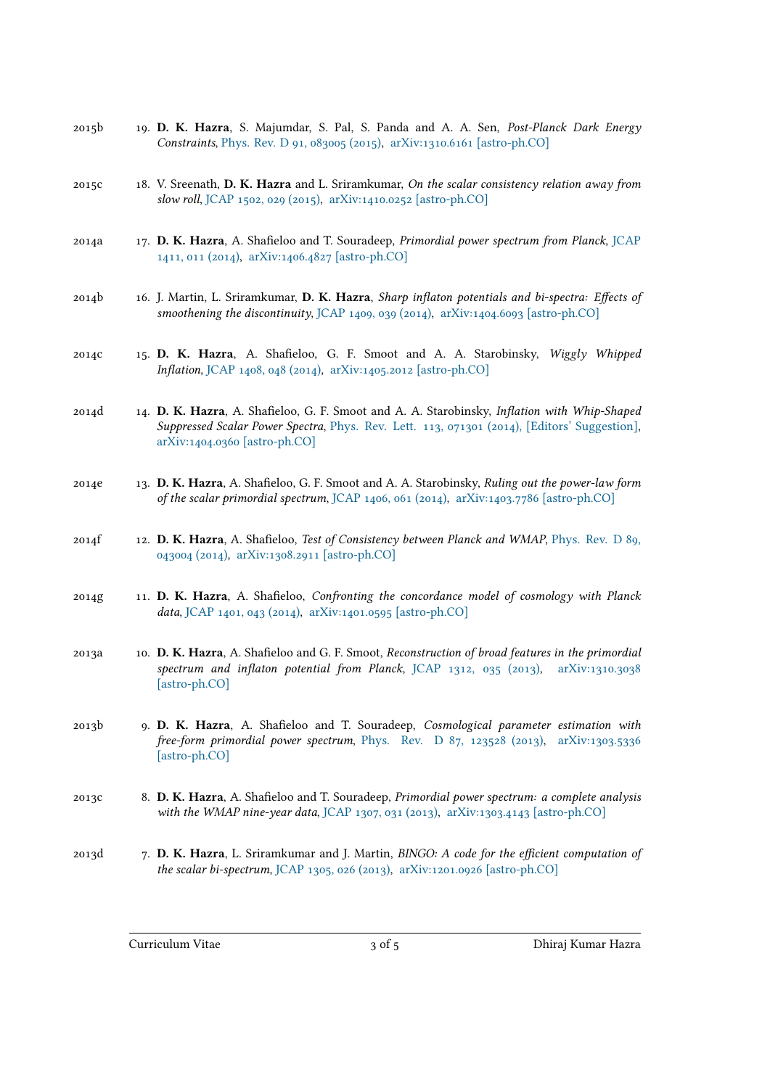- 2015b 19. **D. K. Hazra**, S. Majumdar, S. Pal, S. Panda and A. A. Sen, *Post-Planck Dark Energy Constraints*, Phys. Rev. D 91, 083005 (2015), arXiv:1310.6161 [astro-ph.CO]
- 2015c 18. V. Sreenath, **D. K. Hazra** and L. Sriramkumar, *On the scalar consistency relation away from slow roll*, JC[AP 1502, 029 \(2015\),](http://journals.aps.org/prd/abstract/10.1103/PhysRevD.91.083005) arXiv:1410.[0252 \[astro-ph.CO\]](https://arxiv.org/abs/1310.6161)
- 2014a 17. **D. K. Hazra**, A. Shafieloo and T. Souradeep, *Primordial power spectrum from Planck*, JCAP 1411, 011 (2014), [arXiv:1406.482](http://iopscience.iop.org/article/10.1088/1475-7516/2015/02/029/meta)[7 \[astro-ph.CO\]](https://arxiv.org/abs/1410.0252)
- 2014b 16. J. Martin, L. Sriramkumar, **D. K. Hazra**, *Sharp inflaton potentials and bi-spectra: Eff[ects of](http://iopscience.iop.org/1475-7516/2014/11/011) [smoothening the](http://iopscience.iop.org/1475-7516/2014/11/011) discontinuity*, [JCAP 1409, 039 \(2](https://arxiv.org/abs/1406.4827)014), arXiv:1404.6093 [astro-ph.CO]
- 2014c 15. **D. K. Hazra**, A. Shafieloo, G. F. Smoot and A. A. Starobinsky, *Wiggly Whipped Inflation*, JCAP 1408, 048 (2014), [arXiv:1405.2012 \[ast](http://iopscience.iop.org/1475-7516/2014/09/039/)r[o-ph.CO\]](https://arxiv.org/abs/1404.6093)
- 2014d 14. **D. K. Hazra**, A. Shafieloo, G. F. Smoot and A. A. Starobinsky, *Inflation with Whip-Shaped Suppresse[d Scalar Power Spectra](http://iopscience.iop.org/1475-7516/2014/08/048/)*, [Phys. Rev. Lett. 113, 071301 \(](https://arxiv.org/abs/1405.2012)2014), [Editors' Suggestion], arXiv:1404.0360 [astro-ph.CO]
- 2014e 13. **D. K. Hazra**, A. Shafieloo, G. F. Smoot and A. A. Starobinsky, *[Ruling out the power-law form](http://journals.aps.org/prl/abstract/10.1103/PhysRevLett.113.071301) [of the scalar primordial spectru](https://arxiv.org/abs/1404.0360)m*, JCAP 1406, 061 (2014), arXiv:1403.7786 [astro-ph.CO]
- 2014f 12. **D. K. Hazra**, A. Shafieloo, *Test of Consistency between Planck and WMAP*, Phys. Rev. D 89, 043004 (2014), arXiv:1308.2911 [[astro-ph.CO\]](http://iopscience.iop.org/1475-7516/2014/06/061/)
- 2014g 11. **D. K. Hazra**, A. Shafieloo, *Confronting the concordance model of cosmo[logy with Planck](http://prd.aps.org/abstract/PRD/v89/i4/e043004) data*, [JCAP 14](http://prd.aps.org/abstract/PRD/v89/i4/e043004)01, 043 (2014), [arXiv:1401.0595 \[](https://arxiv.org/abs/1308.2911)astro-ph.CO]
- 2013a 10. **D. K. Hazra**, A. Shafieloo and G. F. Smoot, *Reconstruction of broad features in the primordial spect[rum and inflaton pot](http://iopscience.iop.org/1475-7516/2014/01/043/)e[ntial from Planck](https://arxiv.org/abs/1401.0595)*, JCAP 1312, 035 (2013), arXiv:1310.3038 [astro-ph.CO]
- 2013b 9. **D. K. Hazra**, A. Shafieloo and T. Souradeep, *Cosmological parameter estimation with free-form primordial power spectrum*, Phys. R[ev. D 87, 123528 \(2013](http://iopscience.iop.org/1475-7516/2013/12/035/)), [arXiv:1303.5336](https://arxiv.org/abs/1310.3038) [\[astro-ph.CO\]](https://arxiv.org/abs/1310.3038)
- 2013c 8. **D. K. Hazra**, A. Shafieloo and T. Souradeep, *[Primordial power spectrum: a](http://prd.aps.org/abstract/PRD/v87/i12/e123528) c[omplete analysis](https://arxiv.org/abs/1303.5336) [with the WMA](https://arxiv.org/abs/1303.5336)P nine-year data*, JCAP 1307, 031 (2013), arXiv:1303.4143 [astro-ph.CO]
- 2013d 7. **D. K. Hazra**, L. Sriramkumar and J. Martin, *BINGO: A code for the efficient computation of the scalar bi-spectrum*, JCAP 13[05, 026 \(2013\),](http://iopscience.iop.org/1475-7516/2013/07/031/) arXiv:12[01.0926 \[astro-ph.CO\]](https://arxiv.org/abs/1303.4143)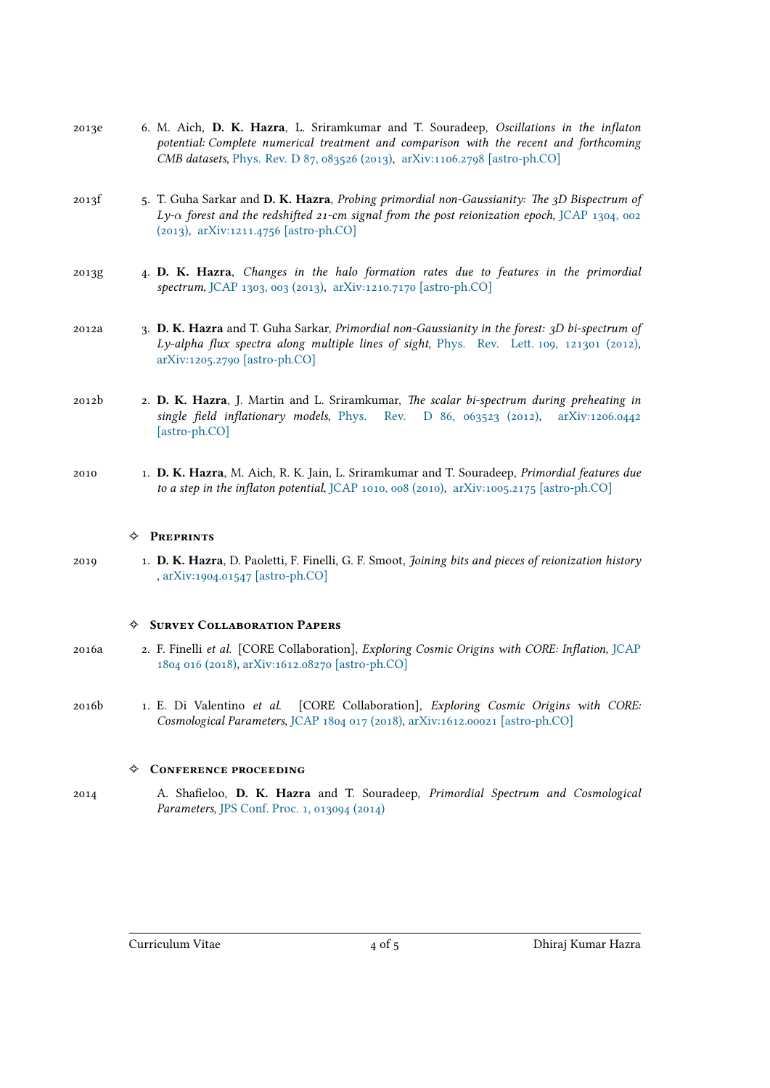- 2013e 6. M. Aich, **D. K. Hazra**, L. Sriramkumar and T. Souradeep, *Oscillations in the inflaton potential: Complete numerical treatment and comparison with the recent and forthcoming CMB datasets*, Phys. Rev. D 87, 083526 (2013), arXiv:1106.2798 [astro-ph.CO]
- 2013f 5. T. Guha Sarkar and **D. K. Hazra**, *Probing primordial non-Gaussianity: The 3D Bispectrum of Ly-α forest an[d the redshifted 21-cm signal fr](http://prd.aps.org/abstract/PRD/v87/i8/e083526)o[m the post reionization epoch](https://arxiv.org/abs/1106.2798)*, JCAP 1304, 002 (2013), arXiv:1211.4756 [astro-ph.CO]
- 2013g 4. **D. K. Hazra**, *Changes in the halo formation rates due to features in [the primordial](http://iopscience.iop.org/1475-7516/2013/04/002/) [spectru](http://iopscience.iop.org/1475-7516/2013/04/002/)m*, [JCAP 1303, 003 \(2013\),](https://arxiv.org/abs/1211.4756) arXiv:1210.7170 [astro-ph.CO]
- 2012a 3. **D. K. Hazra** and T. Guha Sarkar, *Primordial non-Gaussianity in the forest: 3D bi-spectrum of Ly-alpha [flux spectra along mu](http://iopscience.iop.org/1475-7516/2013/03/003/)l[tiple lines of sight](https://arxiv.org/abs/1210.7170)*, Phys. Rev. Lett. 109, 121301 (2012), arXiv:1205.2790 [astro-ph.CO]
- 2012b 2. **D. K. Hazra**, J. Martin and L. Sriramkumar, *The s[calar bi-spectrum during preheating in](http://prl.aps.org/abstract/PRL/v109/i12/e121301) [single field inflationary mode](https://arxiv.org/abs/1205.2790)ls*, Phys. Rev. D 86, 063523 (2012), arXiv:1206.0442 [astro-ph.CO]
- 2010 1. **D. K. Hazra**, M. Aich, R. K. Jain, [L. Sriramkumar and T. Souradeep,](http://prd.aps.org/abstract/PRD/v86/i6/e063523) *Primor[dial features due](https://arxiv.org/abs/1206.0442) [to a step in the](https://arxiv.org/abs/1206.0442) inflaton potential*, JCAP 1010, 008 (2010), arXiv:1005.2175 [astro-ph.CO]

#### ✧ **Preprints**

2019 1. **D. K. Hazra**, D. Paoletti, F. Finel[li, G. F. Smoot,](http://iopscience.iop.org/1475-7516/2010/10/008/) *Joining [bits and pieces of reionization hi](https://arxiv.org/abs/1005.2175)story* , arXiv:1904.01547 [astro-ph.CO]

#### ✧ **Survey Collaboration Papers**

- 2016a 2. F. Finelli *et al.* [\[CORE Collabora](http://arxiv.org/abs/arXiv:1904.01547)tion], *Exploring Cosmic Origins with CORE: Inflation*, JCAP 1804 016 (2018), arXiv:1612.08270 [astro-ph.CO]
- 2016b 1. E. Di Valentino *et al.* [CORE Collaboration], *Exploring Cosmic Origins with [CORE:](https://doi.org/10.1088/1475-7516/2018/04/016) [Cosmological Pa](https://doi.org/10.1088/1475-7516/2018/04/016)rameters*, [JCAP 1804 017 \(2018\),](https://arxiv.org/abs/1612.08270) arXiv:1612.00021 [astro-ph.CO]

#### ✧ **Conference proceeding**

2014 A. Shafieloo, **D. K. Hazra** [and T. Sourade](https://doi.org/10.1088/1475-7516/2018/04/017)ep, *[Primordial Spectrum and C](https://arxiv.org/abs/1612.00021)osmological Parameters*, JPS Conf. Proc. 1, 013094 (2014)